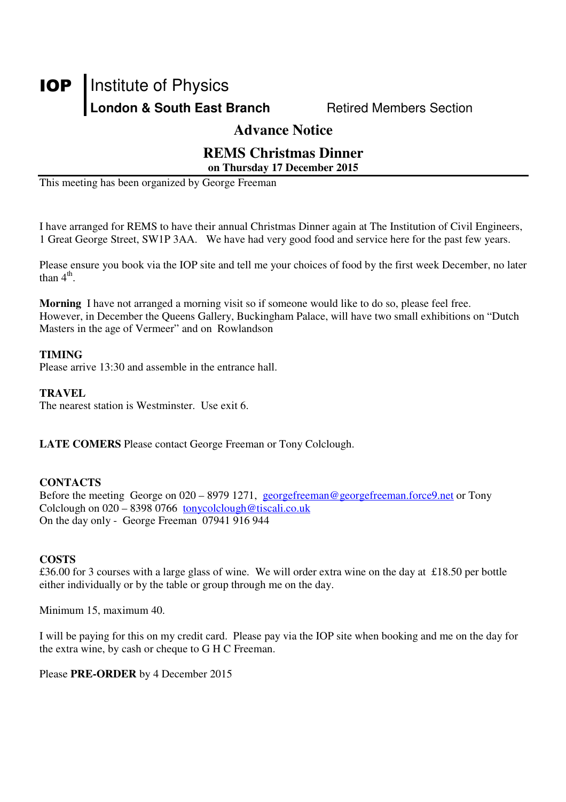# **IOP** Institute of Physics London & South East Branch **Retired Members Section**

#### **Advance Notice**

#### **REMS Christmas Dinner on Thursday 17 December 2015**

This meeting has been organized by George Freeman

I have arranged for REMS to have their annual Christmas Dinner again at The Institution of Civil Engineers, 1 Great George Street, SW1P 3AA. We have had very good food and service here for the past few years.

Please ensure you book via the IOP site and tell me your choices of food by the first week December, no later than  $4^{\text{th}}$ .

**Morning** I have not arranged a morning visit so if someone would like to do so, please feel free. However, in December the Queens Gallery, Buckingham Palace, will have two small exhibitions on "Dutch Masters in the age of Vermeer" and on Rowlandson

#### **TIMING**

Please arrive 13:30 and assemble in the entrance hall.

#### **TRAVEL**

The nearest station is Westminster. Use exit 6.

**LATE COMERS** Please contact George Freeman or Tony Colclough.

#### **CONTACTS**

Before the meeting George on 020 – 8979 1271, georgefreeman@georgefreeman.force9.net or Tony Colclough on 020 – 8398 0766 tonycolclough@tiscali.co.uk On the day only - George Freeman 07941 916 944

#### **COSTS**

£36.00 for 3 courses with a large glass of wine. We will order extra wine on the day at £18.50 per bottle either individually or by the table or group through me on the day.

Minimum 15, maximum 40.

I will be paying for this on my credit card. Please pay via the IOP site when booking and me on the day for the extra wine, by cash or cheque to G H C Freeman.

Please **PRE-ORDER** by 4 December 2015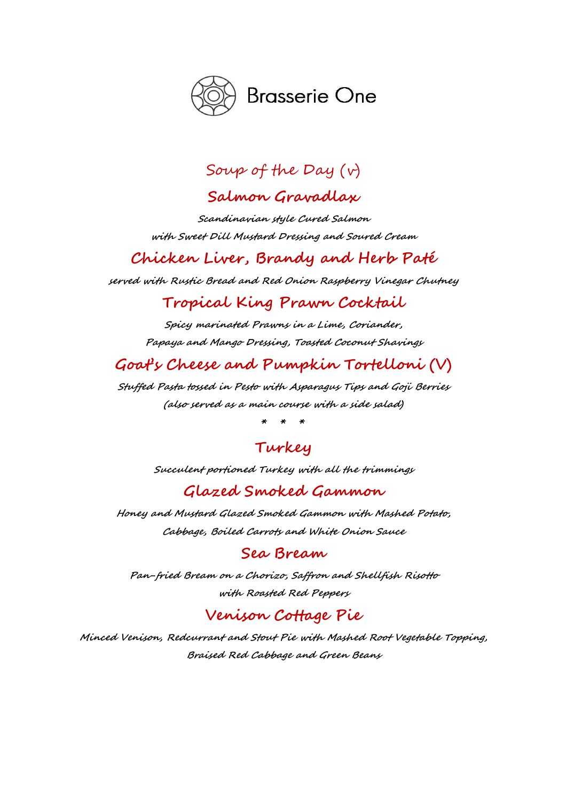

# Soup of the Day (v)

## Salmon Gravadlax

Scandinavian style Cured Salmon with Sweet Dill Mustard Dressing and Soured Cream

# Chicken Liver, Brandy and Herb Paté

served with Rustic Bread and Red Onion Raspberry Vinegar Chutney

### Tropical King Prawn Cocktail

Spicy marinated Prawns in a Lime, Coriander, Papaya and Mango Dressing, Toasted Coconut Shavings

# Goat's Cheese and Pumpkin Tortelloni (V)

Stuffed Pasta tossed in Pesto with Asparagus Tips and Goji Berries (also served as a main course with a side salad)

\* \* \*

## Turkey

Succulent portioned Turkey with all the trimmings

### Glazed Smoked Gammon

Honey and Mustard Glazed Smoked Gammon with Mashed Potato, Cabbage, Boiled Carrots and White Onion Sauce

#### Sea Bream

Pan-fried Bream on a Chorizo, Saffron and Shellfish Risotto with Roasted Red Peppers

## Venison Cottage Pie

Minced Venison, Redcurrant and Stout Pie with Mashed Root Vegetable Topping, Braised Red Cabbage and Green Beans